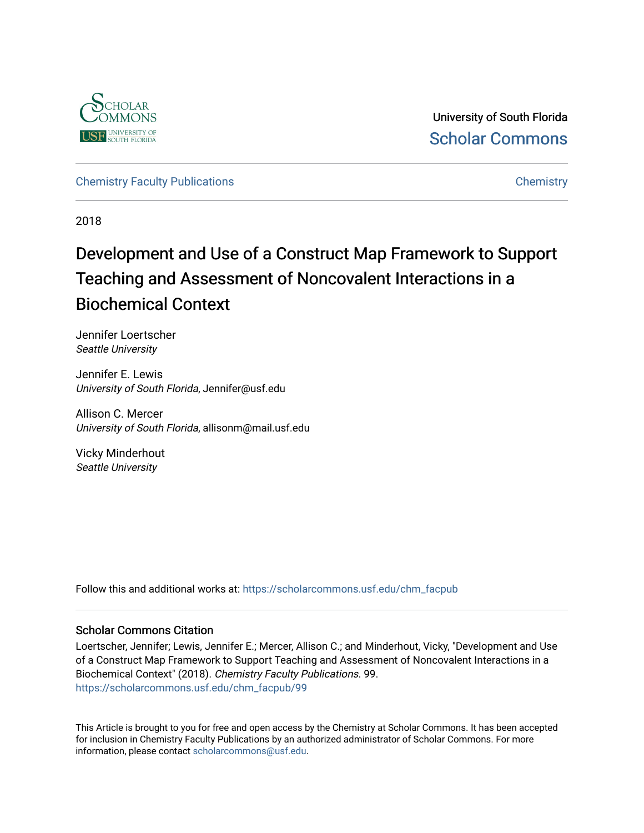

University of South Florida [Scholar Commons](https://scholarcommons.usf.edu/) 

[Chemistry Faculty Publications](https://scholarcommons.usf.edu/chm_facpub) **Chemistry** Chemistry

2018

# Development and Use of a Construct Map Framework to Support Teaching and Assessment of Noncovalent Interactions in a Biochemical Context

Jennifer Loertscher Seattle University

Jennifer E. Lewis University of South Florida, Jennifer@usf.edu

Allison C. Mercer University of South Florida, allisonm@mail.usf.edu

Vicky Minderhout Seattle University

Follow this and additional works at: [https://scholarcommons.usf.edu/chm\\_facpub](https://scholarcommons.usf.edu/chm_facpub?utm_source=scholarcommons.usf.edu%2Fchm_facpub%2F99&utm_medium=PDF&utm_campaign=PDFCoverPages) 

# Scholar Commons Citation

Loertscher, Jennifer; Lewis, Jennifer E.; Mercer, Allison C.; and Minderhout, Vicky, "Development and Use of a Construct Map Framework to Support Teaching and Assessment of Noncovalent Interactions in a Biochemical Context" (2018). Chemistry Faculty Publications. 99. [https://scholarcommons.usf.edu/chm\\_facpub/99](https://scholarcommons.usf.edu/chm_facpub/99?utm_source=scholarcommons.usf.edu%2Fchm_facpub%2F99&utm_medium=PDF&utm_campaign=PDFCoverPages)

This Article is brought to you for free and open access by the Chemistry at Scholar Commons. It has been accepted for inclusion in Chemistry Faculty Publications by an authorized administrator of Scholar Commons. For more information, please contact [scholarcommons@usf.edu](mailto:scholarcommons@usf.edu).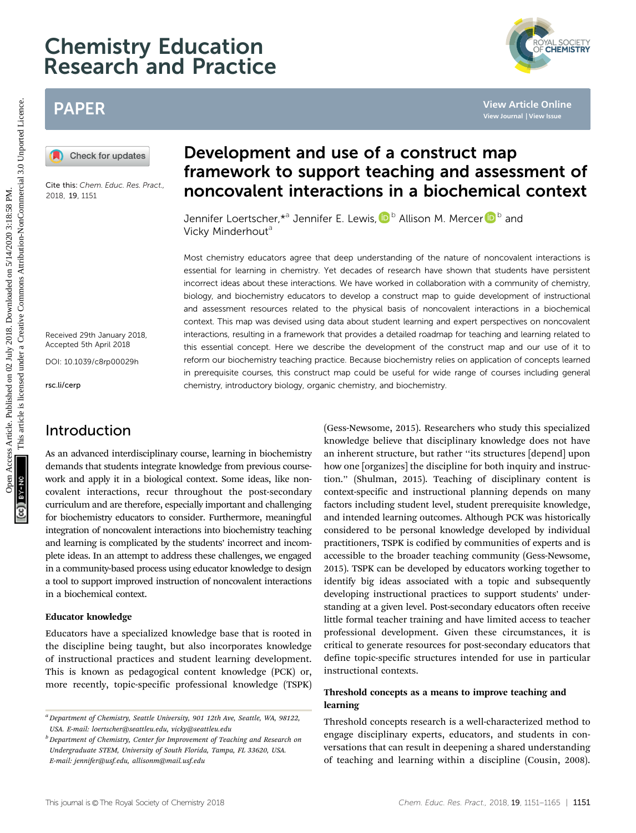# Chemistry Education Research and Practice

# PAPER

Cite this: *Chem. Educ. Res. Pract.,* 2018, 19, 1151

Received 29th January 2018, Accepted 5th April 2018

DOI: 10.1039/c8rp00029h

[rsc.li/cerp](http://rsc.li/cerp)

# Introduction

As an advanced interdisciplinary course, learning in biochemistry demands that students integrate knowledge from previous coursework and apply it in a biological context. Some ideas, like noncovalent interactions, recur throughout the post-secondary curriculum and are therefore, especially important and challenging for biochemistry educators to consider. Furthermore, meaningful integration of noncovalent interactions into biochemistry teaching and learning is complicated by the students' incorrect and incomplete ideas. In an attempt to address these challenges, we engaged in a community-based process using educator knowledge to design a tool to support improved instruction of noncovalent interactions in a biochemical context.

#### Educator knowledge

Educators have a specialized knowledge base that is rooted in the discipline being taught, but also incorporates knowledge of instructional practices and student learning development. This is known as pedagogical content knowledge (PCK) or, more recently, topic-specific professional knowledge (TSPK)

# Development and use of a construct map framework to support teaching and assessment of noncovalent interactions in a biochemical context

Jennifer Loertscher, \*<sup>a</sup> Jennifer E. Lewis, D<sup>b</sup> Allison M. Mercer D<sup>b</sup> and Vicky Minderhout<sup>a</sup>

Most chemistry educators agree that deep understanding of the nature of noncovalent interactions is essential for learning in chemistry. Yet decades of research have shown that students have persistent incorrect ideas about these interactions. We have worked in collaboration with a community of chemistry, biology, and biochemistry educators to develop a construct map to guide development of instructional and assessment resources related to the physical basis of noncovalent interactions in a biochemical context. This map was devised using data about student learning and expert perspectives on noncovalent interactions, resulting in a framework that provides a detailed roadmap for teaching and learning related to this essential concept. Here we describe the development of the construct map and our use of it to reform our biochemistry teaching practice. Because biochemistry relies on application of concepts learned in prerequisite courses, this construct map could be useful for wide range of courses including general chemistry, introductory biology, organic chemistry, and biochemistry. PAPER<br> **Example 18 Construct the Start of the Construct of the Construct of the Construct of the Construct of the Construct of the Construct of the Construct of the Construct of the Construct of the Construct of the Constr** 

(Gess-Newsome, 2015). Researchers who study this specialized knowledge believe that disciplinary knowledge does not have an inherent structure, but rather ''its structures [depend] upon how one [organizes] the discipline for both inquiry and instruction.'' (Shulman, 2015). Teaching of disciplinary content is context-specific and instructional planning depends on many factors including student level, student prerequisite knowledge, and intended learning outcomes. Although PCK was historically considered to be personal knowledge developed by individual practitioners, TSPK is codified by communities of experts and is accessible to the broader teaching community (Gess-Newsome, 2015). TSPK can be developed by educators working together to identify big ideas associated with a topic and subsequently developing instructional practices to support students' understanding at a given level. Post-secondary educators often receive little formal teacher training and have limited access to teacher professional development. Given these circumstances, it is critical to generate resources for post-secondary educators that define topic-specific structures intended for use in particular instructional contexts.

### Threshold concepts as a means to improve teaching and learning

Threshold concepts research is a well-characterized method to engage disciplinary experts, educators, and students in conversations that can result in deepening a shared understanding of teaching and learning within a discipline (Cousin, 2008).



<sup>a</sup> Department of Chemistry, Seattle University, 901 12th Ave, Seattle, WA, 98122, USA. E-mail: loertscher@seattleu.edu, vicky@seattleu.edu

 $<sup>b</sup>$  Department of Chemistry, Center for Improvement of Teaching and Research on</sup> Undergraduate STEM, University of South Florida, Tampa, FL 33620, USA. E-mail: jennifer@usf.edu, allisonm@mail.usf.edu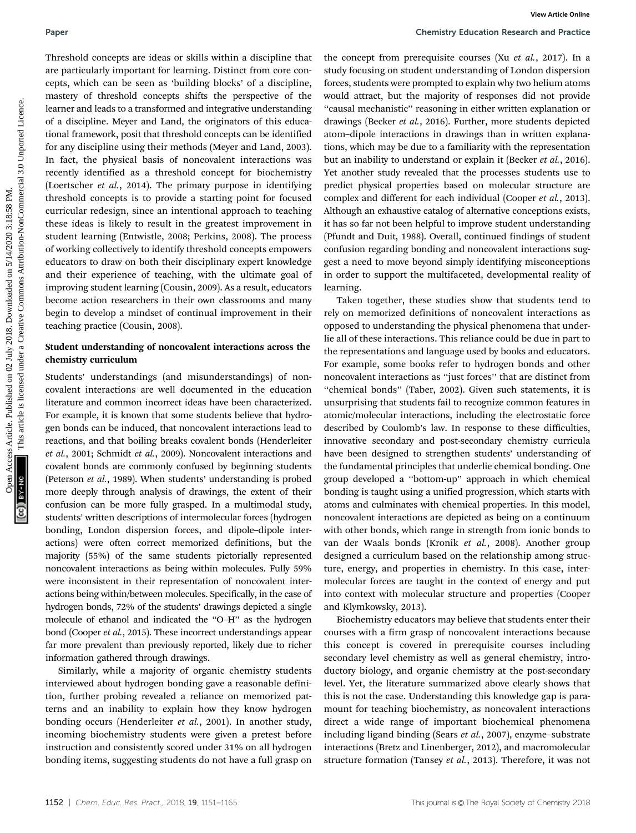Threshold concepts are ideas or skills within a discipline that are particularly important for learning. Distinct from core concepts, which can be seen as 'building blocks' of a discipline, mastery of threshold concepts shifts the perspective of the learner and leads to a transformed and integrative understanding of a discipline. Meyer and Land, the originators of this educational framework, posit that threshold concepts can be identified for any discipline using their methods (Meyer and Land, 2003). In fact, the physical basis of noncovalent interactions was recently identified as a threshold concept for biochemistry (Loertscher et al., 2014). The primary purpose in identifying threshold concepts is to provide a starting point for focused curricular redesign, since an intentional approach to teaching these ideas is likely to result in the greatest improvement in student learning (Entwistle, 2008; Perkins, 2008). The process of working collectively to identify threshold concepts empowers educators to draw on both their disciplinary expert knowledge and their experience of teaching, with the ultimate goal of improving student learning (Cousin, 2009). As a result, educators become action researchers in their own classrooms and many begin to develop a mindset of continual improvement in their teaching practice (Cousin, 2008). Paper Chemisty Education Article on Chemisty Distribution and the concept from precequisite comes State of a creation and the component for icensing. Dominal component in the common and consider and component in the common

### Student understanding of noncovalent interactions across the chemistry curriculum

Students' understandings (and misunderstandings) of noncovalent interactions are well documented in the education literature and common incorrect ideas have been characterized. For example, it is known that some students believe that hydrogen bonds can be induced, that noncovalent interactions lead to reactions, and that boiling breaks covalent bonds (Henderleiter et al., 2001; Schmidt et al., 2009). Noncovalent interactions and covalent bonds are commonly confused by beginning students (Peterson et al., 1989). When students' understanding is probed more deeply through analysis of drawings, the extent of their confusion can be more fully grasped. In a multimodal study, students' written descriptions of intermolecular forces (hydrogen bonding, London dispersion forces, and dipole–dipole interactions) were often correct memorized definitions, but the majority (55%) of the same students pictorially represented noncovalent interactions as being within molecules. Fully 59% were inconsistent in their representation of noncovalent interactions being within/between molecules. Specifically, in the case of hydrogen bonds, 72% of the students' drawings depicted a single molecule of ethanol and indicated the ''O–H'' as the hydrogen bond (Cooper et al., 2015). These incorrect understandings appear far more prevalent than previously reported, likely due to richer information gathered through drawings.

Similarly, while a majority of organic chemistry students interviewed about hydrogen bonding gave a reasonable definition, further probing revealed a reliance on memorized patterns and an inability to explain how they know hydrogen bonding occurs (Henderleiter *et al.*, 2001). In another study, incoming biochemistry students were given a pretest before instruction and consistently scored under 31% on all hydrogen bonding items, suggesting students do not have a full grasp on

the concept from prerequisite courses (Xu et al., 2017). In a study focusing on student understanding of London dispersion forces, students were prompted to explain why two helium atoms would attract, but the majority of responses did not provide ''causal mechanistic'' reasoning in either written explanation or drawings (Becker et al., 2016). Further, more students depicted atom–dipole interactions in drawings than in written explanations, which may be due to a familiarity with the representation but an inability to understand or explain it (Becker et al., 2016). Yet another study revealed that the processes students use to predict physical properties based on molecular structure are complex and different for each individual (Cooper et al., 2013). Although an exhaustive catalog of alternative conceptions exists, it has so far not been helpful to improve student understanding (Pfundt and Duit, 1988). Overall, continued findings of student confusion regarding bonding and noncovalent interactions suggest a need to move beyond simply identifying misconceptions in order to support the multifaceted, developmental reality of learning.

Taken together, these studies show that students tend to rely on memorized definitions of noncovalent interactions as opposed to understanding the physical phenomena that underlie all of these interactions. This reliance could be due in part to the representations and language used by books and educators. For example, some books refer to hydrogen bonds and other noncovalent interactions as ''just forces'' that are distinct from "chemical bonds" (Taber, 2002). Given such statements, it is unsurprising that students fail to recognize common features in atomic/molecular interactions, including the electrostatic force described by Coulomb's law. In response to these difficulties, innovative secondary and post-secondary chemistry curricula have been designed to strengthen students' understanding of the fundamental principles that underlie chemical bonding. One group developed a ''bottom-up'' approach in which chemical bonding is taught using a unified progression, which starts with atoms and culminates with chemical properties. In this model, noncovalent interactions are depicted as being on a continuum with other bonds, which range in strength from ionic bonds to van der Waals bonds (Kronik et al., 2008). Another group designed a curriculum based on the relationship among structure, energy, and properties in chemistry. In this case, intermolecular forces are taught in the context of energy and put into context with molecular structure and properties (Cooper and Klymkowsky, 2013).

Biochemistry educators may believe that students enter their courses with a firm grasp of noncovalent interactions because this concept is covered in prerequisite courses including secondary level chemistry as well as general chemistry, introductory biology, and organic chemistry at the post-secondary level. Yet, the literature summarized above clearly shows that this is not the case. Understanding this knowledge gap is paramount for teaching biochemistry, as noncovalent interactions direct a wide range of important biochemical phenomena including ligand binding (Sears et al., 2007), enzyme–substrate interactions (Bretz and Linenberger, 2012), and macromolecular structure formation (Tansey et al., 2013). Therefore, it was not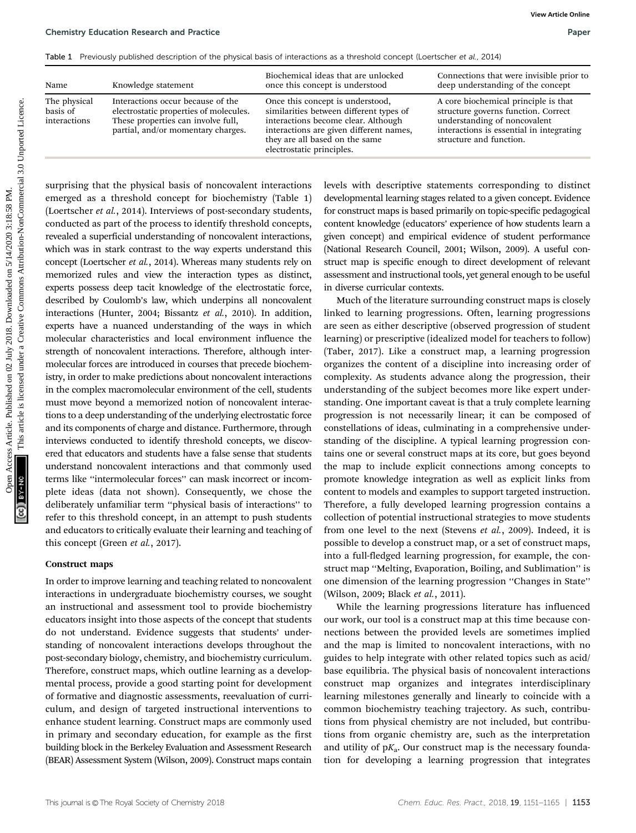Table 1 Previously published description of the physical basis of interactions as a threshold concept (Loertscher et al., 2014)

| Name                                     | Knowledge statement                                                                                                                                     | Biochemical ideas that are unlocked<br>once this concept is understood                                                                                                                                                       | Connections that were invisible prior to<br>deep understanding of the concept                                                                                                      |
|------------------------------------------|---------------------------------------------------------------------------------------------------------------------------------------------------------|------------------------------------------------------------------------------------------------------------------------------------------------------------------------------------------------------------------------------|------------------------------------------------------------------------------------------------------------------------------------------------------------------------------------|
| The physical<br>basis of<br>interactions | Interactions occur because of the<br>electrostatic properties of molecules.<br>These properties can involve full,<br>partial, and/or momentary charges. | Once this concept is understood,<br>similarities between different types of<br>interactions become clear. Although<br>interactions are given different names,<br>they are all based on the same<br>electrostatic principles. | A core biochemical principle is that<br>structure governs function. Correct<br>understanding of noncovalent<br>interactions is essential in integrating<br>structure and function. |

surprising that the physical basis of noncovalent interactions emerged as a threshold concept for biochemistry (Table 1) (Loertscher et al., 2014). Interviews of post-secondary students, conducted as part of the process to identify threshold concepts, revealed a superficial understanding of noncovalent interactions, which was in stark contrast to the way experts understand this concept (Loertscher et al., 2014). Whereas many students rely on memorized rules and view the interaction types as distinct, experts possess deep tacit knowledge of the electrostatic force, described by Coulomb's law, which underpins all noncovalent interactions (Hunter, 2004; Bissantz et al., 2010). In addition, experts have a nuanced understanding of the ways in which molecular characteristics and local environment influence the strength of noncovalent interactions. Therefore, although intermolecular forces are introduced in courses that precede biochemistry, in order to make predictions about noncovalent interactions in the complex macromolecular environment of the cell, students must move beyond a memorized notion of noncovalent interactions to a deep understanding of the underlying electrostatic force and its components of charge and distance. Furthermore, through interviews conducted to identify threshold concepts, we discovered that educators and students have a false sense that students understand noncovalent interactions and that commonly used terms like ''intermolecular forces'' can mask incorrect or incomplete ideas (data not shown). Consequently, we chose the deliberately unfamiliar term ''physical basis of interactions'' to refer to this threshold concept, in an attempt to push students and educators to critically evaluate their learning and teaching of this concept (Green et al., 2017). Operating Education Research and Paccice<br>
Teste 1. Published of the control of the critical deal of the control of the control of the control of the control of the common and the control of the control of the control of t

### Construct maps

In order to improve learning and teaching related to noncovalent interactions in undergraduate biochemistry courses, we sought an instructional and assessment tool to provide biochemistry educators insight into those aspects of the concept that students do not understand. Evidence suggests that students' understanding of noncovalent interactions develops throughout the post-secondary biology, chemistry, and biochemistry curriculum. Therefore, construct maps, which outline learning as a developmental process, provide a good starting point for development of formative and diagnostic assessments, reevaluation of curriculum, and design of targeted instructional interventions to enhance student learning. Construct maps are commonly used in primary and secondary education, for example as the first building block in the Berkeley Evaluation and Assessment Research (BEAR) Assessment System (Wilson, 2009). Construct maps contain

levels with descriptive statements corresponding to distinct developmental learning stages related to a given concept. Evidence for construct maps is based primarily on topic-specific pedagogical content knowledge (educators' experience of how students learn a given concept) and empirical evidence of student performance (National Research Council, 2001; Wilson, 2009). A useful construct map is specific enough to direct development of relevant assessment and instructional tools, yet general enough to be useful in diverse curricular contexts.

Much of the literature surrounding construct maps is closely linked to learning progressions. Often, learning progressions are seen as either descriptive (observed progression of student learning) or prescriptive (idealized model for teachers to follow) (Taber, 2017). Like a construct map, a learning progression organizes the content of a discipline into increasing order of complexity. As students advance along the progression, their understanding of the subject becomes more like expert understanding. One important caveat is that a truly complete learning progression is not necessarily linear; it can be composed of constellations of ideas, culminating in a comprehensive understanding of the discipline. A typical learning progression contains one or several construct maps at its core, but goes beyond the map to include explicit connections among concepts to promote knowledge integration as well as explicit links from content to models and examples to support targeted instruction. Therefore, a fully developed learning progression contains a collection of potential instructional strategies to move students from one level to the next (Stevens et al., 2009). Indeed, it is possible to develop a construct map, or a set of construct maps, into a full-fledged learning progression, for example, the construct map ''Melting, Evaporation, Boiling, and Sublimation'' is one dimension of the learning progression ''Changes in State'' (Wilson, 2009; Black *et al.*, 2011).

While the learning progressions literature has influenced our work, our tool is a construct map at this time because connections between the provided levels are sometimes implied and the map is limited to noncovalent interactions, with no guides to help integrate with other related topics such as acid/ base equilibria. The physical basis of noncovalent interactions construct map organizes and integrates interdisciplinary learning milestones generally and linearly to coincide with a common biochemistry teaching trajectory. As such, contributions from physical chemistry are not included, but contributions from organic chemistry are, such as the interpretation and utility of  $pK_a$ . Our construct map is the necessary foundation for developing a learning progression that integrates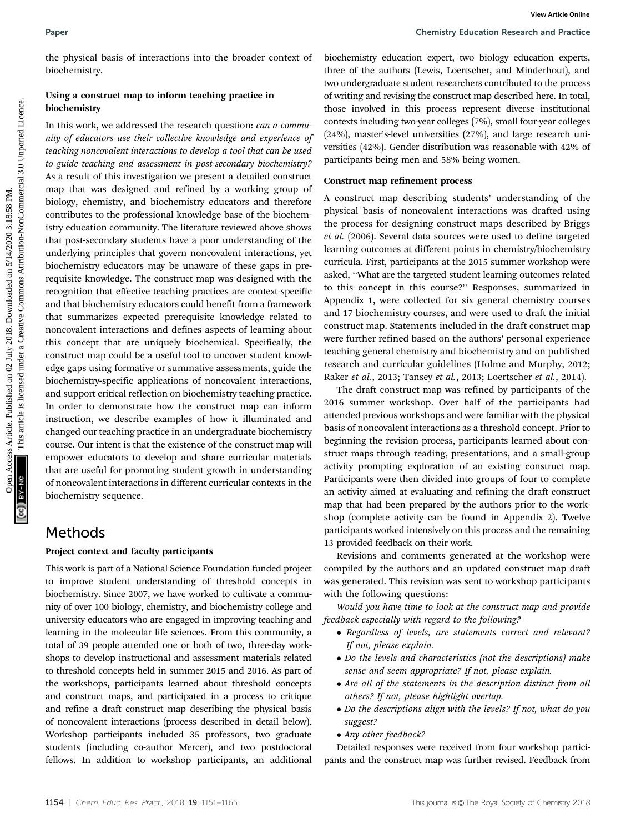the physical basis of interactions into the broader context of biochemistry.

# Using a construct map to inform teaching practice in biochemistry

In this work, we addressed the research question: can a community of educators use their collective knowledge and experience of teaching noncovalent interactions to develop a tool that can be used to guide teaching and assessment in post-secondary biochemistry? As a result of this investigation we present a detailed construct map that was designed and refined by a working group of biology, chemistry, and biochemistry educators and therefore contributes to the professional knowledge base of the biochemistry education community. The literature reviewed above shows that post-secondary students have a poor understanding of the underlying principles that govern noncovalent interactions, yet biochemistry educators may be unaware of these gaps in prerequisite knowledge. The construct map was designed with the recognition that effective teaching practices are context-specific and that biochemistry educators could benefit from a framework that summarizes expected prerequisite knowledge related to noncovalent interactions and defines aspects of learning about this concept that are uniquely biochemical. Specifically, the construct map could be a useful tool to uncover student knowledge gaps using formative or summative assessments, guide the biochemistry-specific applications of noncovalent interactions, and support critical reflection on biochemistry teaching practice. In order to demonstrate how the construct map can inform instruction, we describe examples of how it illuminated and changed our teaching practice in an undergraduate biochemistry course. Our intent is that the existence of the construct map will empower educators to develop and share curricular materials that are useful for promoting student growth in understanding of noncovalent interactions in different curricular contexts in the biochemistry sequence. Paper Chemistry Education Situs the broader context of biochemistry chronical costs are another controlloos, and Mindelmond, and Mindelmond, and Mindelmond and Mindelmond and Mindelmond and Mindelmond and Mindelmond and Th

# Methods

# Project context and faculty participants

This work is part of a National Science Foundation funded project to improve student understanding of threshold concepts in biochemistry. Since 2007, we have worked to cultivate a community of over 100 biology, chemistry, and biochemistry college and university educators who are engaged in improving teaching and learning in the molecular life sciences. From this community, a total of 39 people attended one or both of two, three-day workshops to develop instructional and assessment materials related to threshold concepts held in summer 2015 and 2016. As part of the workshops, participants learned about threshold concepts and construct maps, and participated in a process to critique and refine a draft construct map describing the physical basis of noncovalent interactions (process described in detail below). Workshop participants included 35 professors, two graduate students (including co-author Mercer), and two postdoctoral fellows. In addition to workshop participants, an additional biochemistry education expert, two biology education experts, three of the authors (Lewis, Loertscher, and Minderhout), and two undergraduate student researchers contributed to the process of writing and revising the construct map described here. In total, those involved in this process represent diverse institutional contexts including two-year colleges (7%), small four-year colleges (24%), master's-level universities (27%), and large research universities (42%). Gender distribution was reasonable with 42% of participants being men and 58% being women.

## Construct map refinement process

A construct map describing students' understanding of the physical basis of noncovalent interactions was drafted using the process for designing construct maps described by Briggs et al. (2006). Several data sources were used to define targeted learning outcomes at different points in chemistry/biochemistry curricula. First, participants at the 2015 summer workshop were asked, ''What are the targeted student learning outcomes related to this concept in this course?'' Responses, summarized in Appendix 1, were collected for six general chemistry courses and 17 biochemistry courses, and were used to draft the initial construct map. Statements included in the draft construct map were further refined based on the authors' personal experience teaching general chemistry and biochemistry and on published research and curricular guidelines (Holme and Murphy, 2012; Raker et al., 2013; Tansey et al., 2013; Loertscher et al., 2014).

The draft construct map was refined by participants of the 2016 summer workshop. Over half of the participants had attended previous workshops and were familiar with the physical basis of noncovalent interactions as a threshold concept. Prior to beginning the revision process, participants learned about construct maps through reading, presentations, and a small-group activity prompting exploration of an existing construct map. Participants were then divided into groups of four to complete an activity aimed at evaluating and refining the draft construct map that had been prepared by the authors prior to the workshop (complete activity can be found in Appendix 2). Twelve participants worked intensively on this process and the remaining 13 provided feedback on their work.

Revisions and comments generated at the workshop were compiled by the authors and an updated construct map draft was generated. This revision was sent to workshop participants with the following questions:

Would you have time to look at the construct map and provide feedback especially with regard to the following?

- Regardless of levels, are statements correct and relevant? If not, please explain.
- Do the levels and characteristics (not the descriptions) make sense and seem appropriate? If not, please explain.
- Are all of the statements in the description distinct from all others? If not, please highlight overlap.
- Do the descriptions align with the levels? If not, what do you suggest?
- Any other feedback?

Detailed responses were received from four workshop participants and the construct map was further revised. Feedback from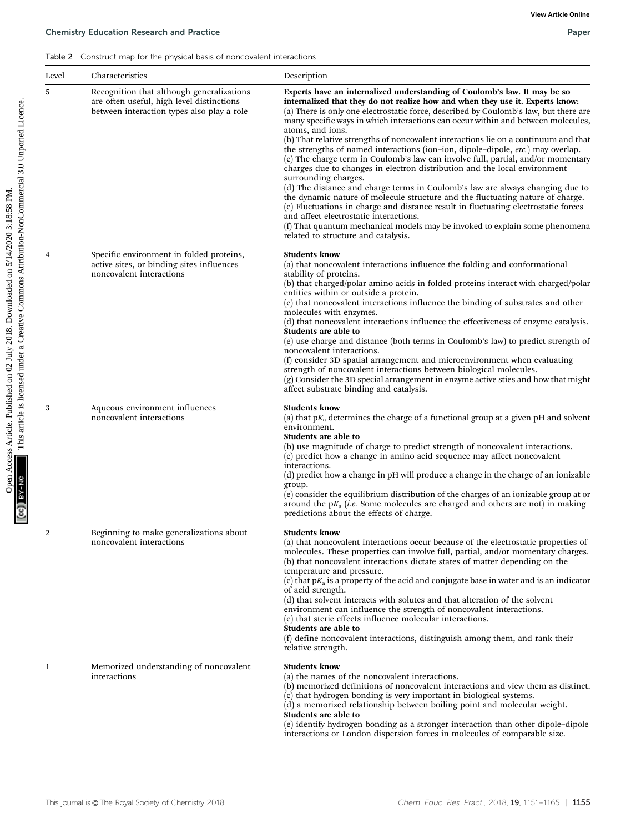|  | Table 2 Construct map for the physical basis of noncovalent interactions |
|--|--------------------------------------------------------------------------|
|--|--------------------------------------------------------------------------|

|            | <b>Table 2</b> Construct map for the physical basis of noncovalent interactions                           |                                                                                                                                                                                                                                                                                                                                                                                                                                                                                                                                                                                                                                                                                                                                                                                                                          |
|------------|-----------------------------------------------------------------------------------------------------------|--------------------------------------------------------------------------------------------------------------------------------------------------------------------------------------------------------------------------------------------------------------------------------------------------------------------------------------------------------------------------------------------------------------------------------------------------------------------------------------------------------------------------------------------------------------------------------------------------------------------------------------------------------------------------------------------------------------------------------------------------------------------------------------------------------------------------|
| Level<br>5 | Characteristics<br>Recognition that although generalizations<br>are often useful, high level distinctions | Description<br>Experts have an internalized understanding of Coulomb's law. It may be so<br>internalized that they do not realize how and when they use it. Experts know:                                                                                                                                                                                                                                                                                                                                                                                                                                                                                                                                                                                                                                                |
|            | between interaction types also play a role                                                                | (a) There is only one electrostatic force, described by Coulomb's law, but there are<br>many specific ways in which interactions can occur within and between molecules,<br>atoms, and ions.<br>(b) That relative strengths of noncovalent interactions lie on a continuum and that<br>the strengths of named interactions (ion-ion, dipole-dipole, etc.) may overlap.<br>(c) The charge term in Coulomb's law can involve full, partial, and/or momentary<br>charges due to changes in electron distribution and the local environment<br>surrounding charges.<br>(d) The distance and charge terms in Coulomb's law are always changing due to<br>the dynamic nature of molecule structure and the fluctuating nature of charge.<br>(e) Fluctuations in charge and distance result in fluctuating electrostatic forces |
|            |                                                                                                           | and affect electrostatic interactions.<br>(f) That quantum mechanical models may be invoked to explain some phenomena<br>related to structure and catalysis.                                                                                                                                                                                                                                                                                                                                                                                                                                                                                                                                                                                                                                                             |
| 4          | Specific environment in folded proteins,<br>active sites, or binding sites influences                     | <b>Students know</b><br>(a) that noncovalent interactions influence the folding and conformational                                                                                                                                                                                                                                                                                                                                                                                                                                                                                                                                                                                                                                                                                                                       |
|            | noncovalent interactions                                                                                  | stability of proteins.<br>(b) that charged/polar amino acids in folded proteins interact with charged/polar<br>entities within or outside a protein.                                                                                                                                                                                                                                                                                                                                                                                                                                                                                                                                                                                                                                                                     |
|            |                                                                                                           | (c) that noncovalent interactions influence the binding of substrates and other<br>molecules with enzymes.<br>(d) that noncovalent interactions influence the effectiveness of enzyme catalysis.                                                                                                                                                                                                                                                                                                                                                                                                                                                                                                                                                                                                                         |
|            |                                                                                                           | Students are able to<br>(e) use charge and distance (both terms in Coulomb's law) to predict strength of                                                                                                                                                                                                                                                                                                                                                                                                                                                                                                                                                                                                                                                                                                                 |
|            |                                                                                                           | noncovalent interactions.<br>(f) consider 3D spatial arrangement and microenvironment when evaluating<br>strength of noncovalent interactions between biological molecules.<br>(g) Consider the 3D special arrangement in enzyme active sties and how that might<br>affect substrate binding and catalysis.                                                                                                                                                                                                                                                                                                                                                                                                                                                                                                              |
| 3          | Aqueous environment influences<br>noncovalent interactions                                                | <b>Students know</b><br>(a) that $pK_a$ determines the charge of a functional group at a given pH and solvent<br>environment.<br>Students are able to                                                                                                                                                                                                                                                                                                                                                                                                                                                                                                                                                                                                                                                                    |
|            |                                                                                                           | (b) use magnitude of charge to predict strength of noncovalent interactions.<br>(c) predict how a change in amino acid sequence may affect noncovalent<br>interactions.                                                                                                                                                                                                                                                                                                                                                                                                                                                                                                                                                                                                                                                  |
|            |                                                                                                           | (d) predict how a change in pH will produce a change in the charge of an ionizable<br>group.<br>(e) consider the equilibrium distribution of the charges of an ionizable group at or<br>around the $pK_a$ ( <i>i.e.</i> Some molecules are charged and others are not) in making                                                                                                                                                                                                                                                                                                                                                                                                                                                                                                                                         |
| 2          | Beginning to make generalizations about<br>noncovalent interactions                                       | predictions about the effects of charge.<br><b>Students know</b><br>(a) that noncovalent interactions occur because of the electrostatic properties of                                                                                                                                                                                                                                                                                                                                                                                                                                                                                                                                                                                                                                                                   |
|            |                                                                                                           | molecules. These properties can involve full, partial, and/or momentary charges.<br>(b) that noncovalent interactions dictate states of matter depending on the<br>temperature and pressure.                                                                                                                                                                                                                                                                                                                                                                                                                                                                                                                                                                                                                             |
|            |                                                                                                           | (c) that $pK_a$ is a property of the acid and conjugate base in water and is an indicator<br>of acid strength.<br>(d) that solvent interacts with solutes and that alteration of the solvent                                                                                                                                                                                                                                                                                                                                                                                                                                                                                                                                                                                                                             |
|            |                                                                                                           | environment can influence the strength of noncovalent interactions.<br>(e) that steric effects influence molecular interactions.<br>Students are able to                                                                                                                                                                                                                                                                                                                                                                                                                                                                                                                                                                                                                                                                 |
|            |                                                                                                           | (f) define noncovalent interactions, distinguish among them, and rank their<br>relative strength.                                                                                                                                                                                                                                                                                                                                                                                                                                                                                                                                                                                                                                                                                                                        |
| 1          | Memorized understanding of noncovalent<br>interactions                                                    | <b>Students know</b><br>(a) the names of the noncovalent interactions.<br>(b) memorized definitions of noncovalent interactions and view them as distinct.<br>(c) that hydrogen bonding is very important in biological systems.<br>(d) a memorized relationship between boiling point and molecular weight.<br>Students are able to<br>(e) identify hydrogen bonding as a stronger interaction than other dipole-dipole<br>interactions or London dispersion forces in molecules of comparable size.                                                                                                                                                                                                                                                                                                                    |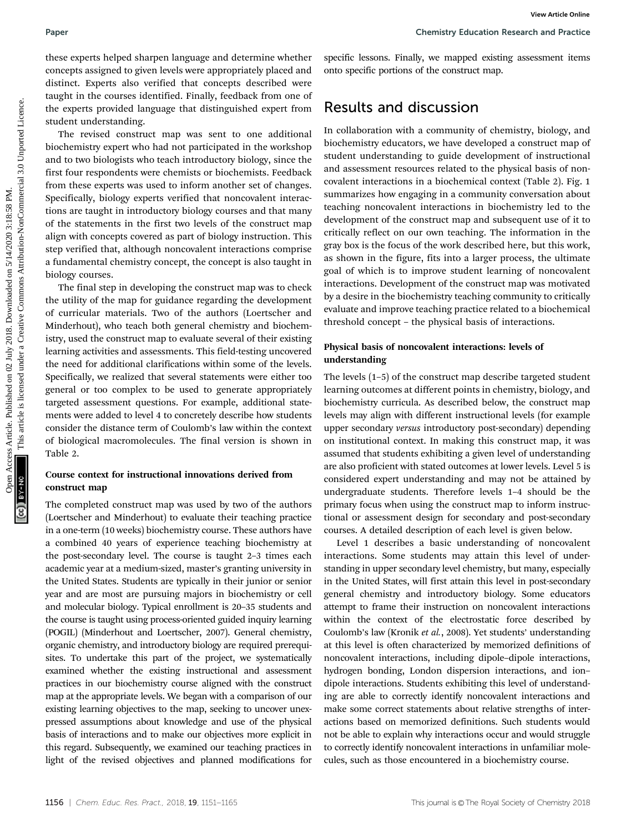these experts helped sharpen language and determine whether concepts assigned to given levels were appropriately placed and distinct. Experts also verified that concepts described were taught in the courses identified. Finally, feedback from one of the experts provided language that distinguished expert from student understanding.

The revised construct map was sent to one additional biochemistry expert who had not participated in the workshop and to two biologists who teach introductory biology, since the first four respondents were chemists or biochemists. Feedback from these experts was used to inform another set of changes. Specifically, biology experts verified that noncovalent interactions are taught in introductory biology courses and that many of the statements in the first two levels of the construct map align with concepts covered as part of biology instruction. This step verified that, although noncovalent interactions comprise a fundamental chemistry concept, the concept is also taught in biology courses.

The final step in developing the construct map was to check the utility of the map for guidance regarding the development of curricular materials. Two of the authors (Loertscher and Minderhout), who teach both general chemistry and biochemistry, used the construct map to evaluate several of their existing learning activities and assessments. This field-testing uncovered the need for additional clarifications within some of the levels. Specifically, we realized that several statements were either too general or too complex to be used to generate appropriately targeted assessment questions. For example, additional statements were added to level 4 to concretely describe how students consider the distance term of Coulomb's law within the context of biological macromolecules. The final version is shown in Table 2.

## Course context for instructional innovations derived from construct map

The completed construct map was used by two of the authors (Loertscher and Minderhout) to evaluate their teaching practice in a one-term (10 weeks) biochemistry course. These authors have a combined 40 years of experience teaching biochemistry at the post-secondary level. The course is taught 2–3 times each academic year at a medium-sized, master's granting university in the United States. Students are typically in their junior or senior year and are most are pursuing majors in biochemistry or cell and molecular biology. Typical enrollment is 20–35 students and the course is taught using process-oriented guided inquiry learning (POGIL) (Minderhout and Loertscher, 2007). General chemistry, organic chemistry, and introductory biology are required prerequisites. To undertake this part of the project, we systematically examined whether the existing instructional and assessment practices in our biochemistry course aligned with the construct map at the appropriate levels. We began with a comparison of our existing learning objectives to the map, seeking to uncover unexpressed assumptions about knowledge and use of the physical basis of interactions and to make our objectives more explicit in this regard. Subsequently, we examined our teaching practices in light of the revised objectives and planned modifications for

specific lessons. Finally, we mapped existing assessment items onto specific portions of the construct map.

# Results and discussion

In collaboration with a community of chemistry, biology, and biochemistry educators, we have developed a construct map of student understanding to guide development of instructional and assessment resources related to the physical basis of noncovalent interactions in a biochemical context (Table 2). Fig. 1 summarizes how engaging in a community conversation about teaching noncovalent interactions in biochemistry led to the development of the construct map and subsequent use of it to critically reflect on our own teaching. The information in the gray box is the focus of the work described here, but this work, as shown in the figure, fits into a larger process, the ultimate goal of which is to improve student learning of noncovalent interactions. Development of the construct map was motivated by a desire in the biochemistry teaching community to critically evaluate and improve teaching practice related to a biochemical threshold concept – the physical basis of interactions. Paper Chemistry Education Research charge that charge and determine whether specific leasons. Finally, we mapped ensires a second in the case of the construction of the construction-<br>
Metals are consisted a stating commons

## Physical basis of noncovalent interactions: levels of understanding

The levels (1–5) of the construct map describe targeted student learning outcomes at different points in chemistry, biology, and biochemistry curricula. As described below, the construct map levels may align with different instructional levels (for example upper secondary versus introductory post-secondary) depending on institutional context. In making this construct map, it was assumed that students exhibiting a given level of understanding are also proficient with stated outcomes at lower levels. Level 5 is considered expert understanding and may not be attained by undergraduate students. Therefore levels 1–4 should be the primary focus when using the construct map to inform instructional or assessment design for secondary and post-secondary courses. A detailed description of each level is given below.

Level 1 describes a basic understanding of noncovalent interactions. Some students may attain this level of understanding in upper secondary level chemistry, but many, especially in the United States, will first attain this level in post-secondary general chemistry and introductory biology. Some educators attempt to frame their instruction on noncovalent interactions within the context of the electrostatic force described by Coulomb's law (Kronik et al., 2008). Yet students' understanding at this level is often characterized by memorized definitions of noncovalent interactions, including dipole–dipole interactions, hydrogen bonding, London dispersion interactions, and ion– dipole interactions. Students exhibiting this level of understanding are able to correctly identify noncovalent interactions and make some correct statements about relative strengths of interactions based on memorized definitions. Such students would not be able to explain why interactions occur and would struggle to correctly identify noncovalent interactions in unfamiliar molecules, such as those encountered in a biochemistry course.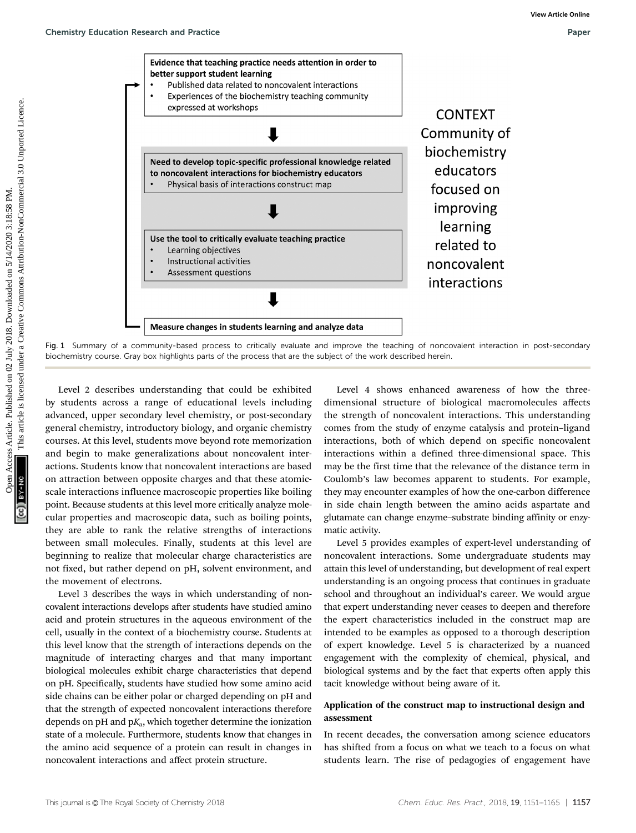

Fig. 1 Summary of a community-based process to critically evaluate and improve the teaching of noncovalent interaction in post-secondary biochemistry course. Gray box highlights parts of the process that are the subject of the work described herein.

Level 2 describes understanding that could be exhibited by students across a range of educational levels including advanced, upper secondary level chemistry, or post-secondary general chemistry, introductory biology, and organic chemistry courses. At this level, students move beyond rote memorization and begin to make generalizations about noncovalent interactions. Students know that noncovalent interactions are based on attraction between opposite charges and that these atomicscale interactions influence macroscopic properties like boiling point. Because students at this level more critically analyze molecular properties and macroscopic data, such as boiling points, they are able to rank the relative strengths of interactions between small molecules. Finally, students at this level are beginning to realize that molecular charge characteristics are not fixed, but rather depend on pH, solvent environment, and the movement of electrons.

Level 3 describes the ways in which understanding of noncovalent interactions develops after students have studied amino acid and protein structures in the aqueous environment of the cell, usually in the context of a biochemistry course. Students at this level know that the strength of interactions depends on the magnitude of interacting charges and that many important biological molecules exhibit charge characteristics that depend on pH. Specifically, students have studied how some amino acid side chains can be either polar or charged depending on pH and that the strength of expected noncovalent interactions therefore depends on  $pH$  and  $pK_a$ , which together determine the ionization state of a molecule. Furthermore, students know that changes in the amino acid sequence of a protein can result in changes in noncovalent interactions and affect protein structure.

Level 4 shows enhanced awareness of how the threedimensional structure of biological macromolecules affects the strength of noncovalent interactions. This understanding comes from the study of enzyme catalysis and protein–ligand interactions, both of which depend on specific noncovalent interactions within a defined three-dimensional space. This may be the first time that the relevance of the distance term in Coulomb's law becomes apparent to students. For example, they may encounter examples of how the one-carbon difference in side chain length between the amino acids aspartate and glutamate can change enzyme–substrate binding affinity or enzymatic activity.

Level 5 provides examples of expert-level understanding of noncovalent interactions. Some undergraduate students may attain this level of understanding, but development of real expert understanding is an ongoing process that continues in graduate school and throughout an individual's career. We would argue that expert understanding never ceases to deepen and therefore the expert characteristics included in the construct map are intended to be examples as opposed to a thorough description of expert knowledge. Level 5 is characterized by a nuanced engagement with the complexity of chemical, physical, and biological systems and by the fact that experts often apply this tacit knowledge without being aware of it.

#### Application of the construct map to instructional design and assessment

In recent decades, the conversation among science educators has shifted from a focus on what we teach to a focus on what students learn. The rise of pedagogies of engagement have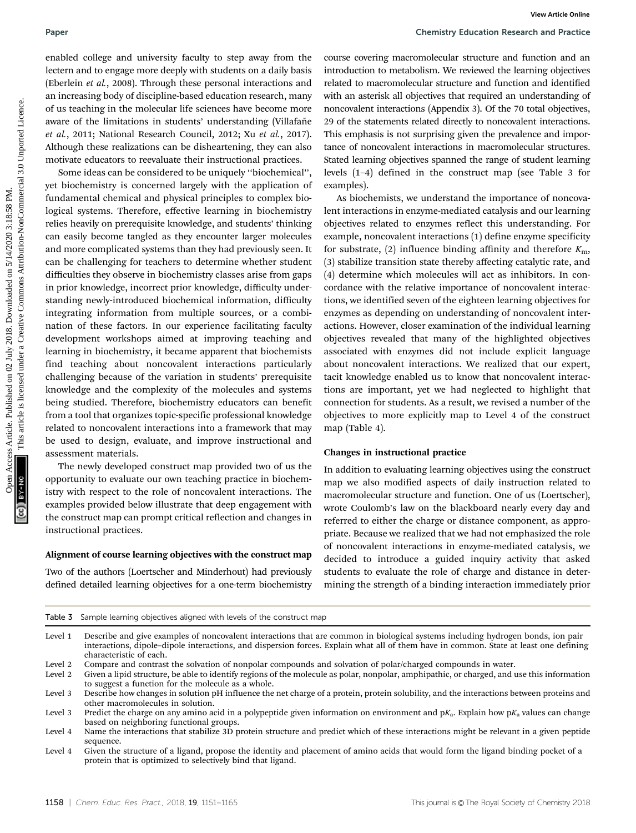enabled college and university faculty to step away from the lectern and to engage more deeply with students on a daily basis (Eberlein et al., 2008). Through these personal interactions and an increasing body of discipline-based education research, many of us teaching in the molecular life sciences have become more aware of the limitations in students' understanding (Villafañe et al., 2011; National Research Council, 2012; Xu et al., 2017). Although these realizations can be disheartening, they can also motivate educators to reevaluate their instructional practices.

Some ideas can be considered to be uniquely ''biochemical'', yet biochemistry is concerned largely with the application of fundamental chemical and physical principles to complex biological systems. Therefore, effective learning in biochemistry relies heavily on prerequisite knowledge, and students' thinking can easily become tangled as they encounter larger molecules and more complicated systems than they had previously seen. It can be challenging for teachers to determine whether student difficulties they observe in biochemistry classes arise from gaps in prior knowledge, incorrect prior knowledge, difficulty understanding newly-introduced biochemical information, difficulty integrating information from multiple sources, or a combination of these factors. In our experience facilitating faculty development workshops aimed at improving teaching and learning in biochemistry, it became apparent that biochemists find teaching about noncovalent interactions particularly challenging because of the variation in students' prerequisite knowledge and the complexity of the molecules and systems being studied. Therefore, biochemistry educators can benefit from a tool that organizes topic-specific professional knowledge related to noncovalent interactions into a framework that may be used to design, evaluate, and improve instructional and assessment materials. Paper Chemistry Education Research can be compare to compare the comparison of the compare on 2014. Download on 2014 and the comparison of the comparison of the common of the common of the common of the common of the commo

The newly developed construct map provided two of us the opportunity to evaluate our own teaching practice in biochemistry with respect to the role of noncovalent interactions. The examples provided below illustrate that deep engagement with the construct map can prompt critical reflection and changes in instructional practices.

#### Alignment of course learning objectives with the construct map

Two of the authors (Loertscher and Minderhout) had previously defined detailed learning objectives for a one-term biochemistry

course covering macromolecular structure and function and an introduction to metabolism. We reviewed the learning objectives related to macromolecular structure and function and identified with an asterisk all objectives that required an understanding of noncovalent interactions (Appendix 3). Of the 70 total objectives, 29 of the statements related directly to noncovalent interactions. This emphasis is not surprising given the prevalence and importance of noncovalent interactions in macromolecular structures. Stated learning objectives spanned the range of student learning levels (1–4) defined in the construct map (see Table 3 for examples).

As biochemists, we understand the importance of noncovalent interactions in enzyme-mediated catalysis and our learning objectives related to enzymes reflect this understanding. For example, noncovalent interactions (1) define enzyme specificity for substrate, (2) influence binding affinity and therefore  $K<sub>m</sub>$ , (3) stabilize transition state thereby affecting catalytic rate, and (4) determine which molecules will act as inhibitors. In concordance with the relative importance of noncovalent interactions, we identified seven of the eighteen learning objectives for enzymes as depending on understanding of noncovalent interactions. However, closer examination of the individual learning objectives revealed that many of the highlighted objectives associated with enzymes did not include explicit language about noncovalent interactions. We realized that our expert, tacit knowledge enabled us to know that noncovalent interactions are important, yet we had neglected to highlight that connection for students. As a result, we revised a number of the objectives to more explicitly map to Level 4 of the construct map (Table 4).

#### Changes in instructional practice

In addition to evaluating learning objectives using the construct map we also modified aspects of daily instruction related to macromolecular structure and function. One of us (Loertscher), wrote Coulomb's law on the blackboard nearly every day and referred to either the charge or distance component, as appropriate. Because we realized that we had not emphasized the role of noncovalent interactions in enzyme-mediated catalysis, we decided to introduce a guided inquiry activity that asked students to evaluate the role of charge and distance in determining the strength of a binding interaction immediately prior

Table 3 Sample learning objectives aligned with levels of the construct map

Level 1 Describe and give examples of noncovalent interactions that are common in biological systems including hydrogen bonds, ion pair interactions, dipole–dipole interactions, and dispersion forces. Explain what all of them have in common. State at least one defining characteristic of each.

Level 2 Compare and contrast the solvation of nonpolar compounds and solvation of polar/charged compounds in water.

- Level 2 Given a lipid structure, be able to identify regions of the molecule as polar, nonpolar, amphipathic, or charged, and use this information to suggest a function for the molecule as a whole.
- Level 3 Describe how changes in solution pH influence the net charge of a protein, protein solubility, and the interactions between proteins and other macromolecules in solution.
- Level 3 Predict the charge on any amino acid in a polypeptide given information on environment and  $pK_a$ . Explain how  $pK_a$  values can change based on neighboring functional groups.
- Level 4 Name the interactions that stabilize 3D protein structure and predict which of these interactions might be relevant in a given peptide sequence.
- Level 4 Given the structure of a ligand, propose the identity and placement of amino acids that would form the ligand binding pocket of a protein that is optimized to selectively bind that ligand.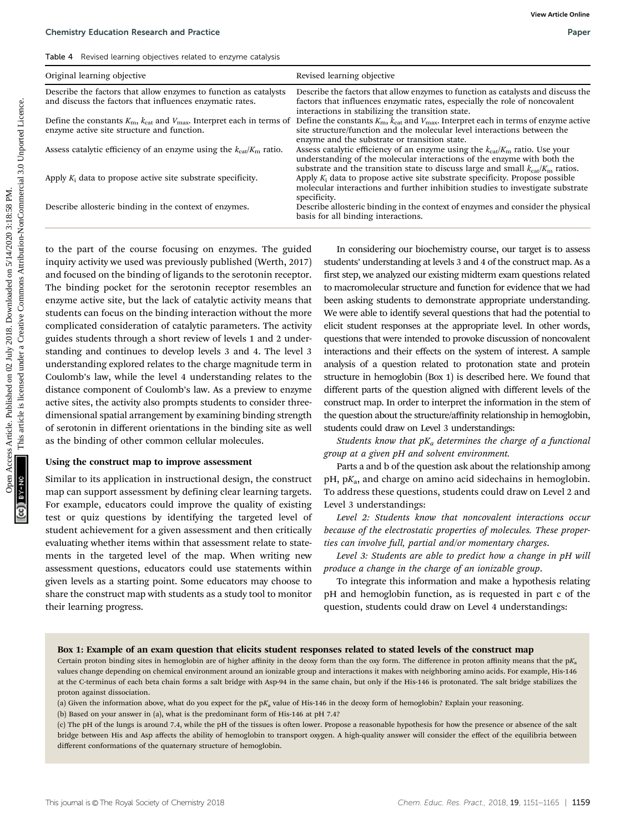| Table 4 Revised learning objectives related to enzyme catalysis<br>Original learning objective                                                                                                                                                                                                                                                                                                                                                                                                                                                                                                                                                                                                                                                                                                                                                                                                                                                                                                                                                                                     | Revised learning objective                                                                                                                                                                                                                                                                                                                                                                                                                                                                                                                                                                                                                                                                                                                                                                                                                                                                                                                                                                                                                                                                                                         |  |
|------------------------------------------------------------------------------------------------------------------------------------------------------------------------------------------------------------------------------------------------------------------------------------------------------------------------------------------------------------------------------------------------------------------------------------------------------------------------------------------------------------------------------------------------------------------------------------------------------------------------------------------------------------------------------------------------------------------------------------------------------------------------------------------------------------------------------------------------------------------------------------------------------------------------------------------------------------------------------------------------------------------------------------------------------------------------------------|------------------------------------------------------------------------------------------------------------------------------------------------------------------------------------------------------------------------------------------------------------------------------------------------------------------------------------------------------------------------------------------------------------------------------------------------------------------------------------------------------------------------------------------------------------------------------------------------------------------------------------------------------------------------------------------------------------------------------------------------------------------------------------------------------------------------------------------------------------------------------------------------------------------------------------------------------------------------------------------------------------------------------------------------------------------------------------------------------------------------------------|--|
|                                                                                                                                                                                                                                                                                                                                                                                                                                                                                                                                                                                                                                                                                                                                                                                                                                                                                                                                                                                                                                                                                    |                                                                                                                                                                                                                                                                                                                                                                                                                                                                                                                                                                                                                                                                                                                                                                                                                                                                                                                                                                                                                                                                                                                                    |  |
| Describe the factors that allow enzymes to function as catalysts<br>and discuss the factors that influences enzymatic rates.                                                                                                                                                                                                                                                                                                                                                                                                                                                                                                                                                                                                                                                                                                                                                                                                                                                                                                                                                       | Describe the factors that allow enzymes to function as catalysts and discuss the<br>factors that influences enzymatic rates, especially the role of noncovalent<br>interactions in stabilizing the transition state.                                                                                                                                                                                                                                                                                                                                                                                                                                                                                                                                                                                                                                                                                                                                                                                                                                                                                                               |  |
| Define the constants $K_{\rm m}$ , $k_{\rm cat}$ and $V_{\rm max}$ . Interpret each in terms of<br>enzyme active site structure and function.                                                                                                                                                                                                                                                                                                                                                                                                                                                                                                                                                                                                                                                                                                                                                                                                                                                                                                                                      | Define the constants $K_{\rm m}$ , $k_{\rm cat}$ and $V_{\rm max}$ . Interpret each in terms of enzyme active<br>site structure/function and the molecular level interactions between the                                                                                                                                                                                                                                                                                                                                                                                                                                                                                                                                                                                                                                                                                                                                                                                                                                                                                                                                          |  |
| Assess catalytic efficiency of an enzyme using the $k_{\text{cat}}/K_{\text{m}}$ ratio.                                                                                                                                                                                                                                                                                                                                                                                                                                                                                                                                                                                                                                                                                                                                                                                                                                                                                                                                                                                            | enzyme and the substrate or transition state.<br>Assess catalytic efficiency of an enzyme using the $k_{\text{cat}}/K_{\text{m}}$ ratio. Use your<br>understanding of the molecular interactions of the enzyme with both the                                                                                                                                                                                                                                                                                                                                                                                                                                                                                                                                                                                                                                                                                                                                                                                                                                                                                                       |  |
| Apply $K_i$ data to propose active site substrate specificity.                                                                                                                                                                                                                                                                                                                                                                                                                                                                                                                                                                                                                                                                                                                                                                                                                                                                                                                                                                                                                     | substrate and the transition state to discuss large and small $k_{\text{cat}}/K_{\text{m}}$ ratios.<br>Apply $K_i$ data to propose active site substrate specificity. Propose possible<br>molecular interactions and further inhibition studies to investigate substrate                                                                                                                                                                                                                                                                                                                                                                                                                                                                                                                                                                                                                                                                                                                                                                                                                                                           |  |
| Describe allosteric binding in the context of enzymes.                                                                                                                                                                                                                                                                                                                                                                                                                                                                                                                                                                                                                                                                                                                                                                                                                                                                                                                                                                                                                             | specificity.<br>Describe allosteric binding in the context of enzymes and consider the physical<br>basis for all binding interactions.                                                                                                                                                                                                                                                                                                                                                                                                                                                                                                                                                                                                                                                                                                                                                                                                                                                                                                                                                                                             |  |
| to the part of the course focusing on enzymes. The guided<br>inquiry activity we used was previously published (Werth, 2017)<br>and focused on the binding of ligands to the serotonin receptor.<br>The binding pocket for the serotonin receptor resembles an<br>enzyme active site, but the lack of catalytic activity means that<br>students can focus on the binding interaction without the more<br>complicated consideration of catalytic parameters. The activity<br>guides students through a short review of levels 1 and 2 under-<br>standing and continues to develop levels 3 and 4. The level 3<br>understanding explored relates to the charge magnitude term in<br>Coulomb's law, while the level 4 understanding relates to the<br>distance component of Coulomb's law. As a preview to enzyme<br>active sites, the activity also prompts students to consider three-<br>dimensional spatial arrangement by examining binding strength<br>of serotonin in different orientations in the binding site as well<br>as the binding of other common cellular molecules. | In considering our biochemistry course, our target is to assess<br>students' understanding at levels 3 and 4 of the construct map. As a<br>first step, we analyzed our existing midterm exam questions related<br>to macromolecular structure and function for evidence that we had<br>been asking students to demonstrate appropriate understanding.<br>We were able to identify several questions that had the potential to<br>elicit student responses at the appropriate level. In other words,<br>questions that were intended to provoke discussion of noncovalent<br>interactions and their effects on the system of interest. A sample<br>analysis of a question related to protonation state and protein<br>structure in hemoglobin (Box 1) is described here. We found that<br>different parts of the question aligned with different levels of the<br>construct map. In order to interpret the information in the stem of<br>the question about the structure/affinity relationship in hemoglobin,<br>students could draw on Level 3 understandings:<br>Students know that $pK_a$ determines the charge of a functional |  |
| Using the construct map to improve assessment                                                                                                                                                                                                                                                                                                                                                                                                                                                                                                                                                                                                                                                                                                                                                                                                                                                                                                                                                                                                                                      | group at a given pH and solvent environment.<br>Parts a and b of the question ask about the relationship among                                                                                                                                                                                                                                                                                                                                                                                                                                                                                                                                                                                                                                                                                                                                                                                                                                                                                                                                                                                                                     |  |
|                                                                                                                                                                                                                                                                                                                                                                                                                                                                                                                                                                                                                                                                                                                                                                                                                                                                                                                                                                                                                                                                                    |                                                                                                                                                                                                                                                                                                                                                                                                                                                                                                                                                                                                                                                                                                                                                                                                                                                                                                                                                                                                                                                                                                                                    |  |
| Similar to its application in instructional design, the construct<br>man can sunnort assessment by defining clear learning targets                                                                                                                                                                                                                                                                                                                                                                                                                                                                                                                                                                                                                                                                                                                                                                                                                                                                                                                                                 | $pH$ , $pK_a$ , and charge on amino acid sidechains in hemoglobin.<br>To address these questions, students could draw on Level 2 and                                                                                                                                                                                                                                                                                                                                                                                                                                                                                                                                                                                                                                                                                                                                                                                                                                                                                                                                                                                               |  |

#### Using the construct map to improve assessment

Similar to its application in instructional design, the construct map can support assessment by defining clear learning targets. For example, educators could improve the quality of existing test or quiz questions by identifying the targeted level of student achievement for a given assessment and then critically evaluating whether items within that assessment relate to statements in the targeted level of the map. When writing new assessment questions, educators could use statements within given levels as a starting point. Some educators may choose to share the construct map with students as a study tool to monitor their learning progress.

Parts a and b of the question ask about the relationship among  $pH$ ,  $pK_a$ , and charge on amino acid sidechains in hemoglobin. To address these questions, students could draw on Level 2 and Level 3 understandings:

Level 2: Students know that noncovalent interactions occur because of the electrostatic properties of molecules. These properties can involve full, partial and/or momentary charges.

Level 3: Students are able to predict how a change in pH will produce a change in the charge of an ionizable group.

To integrate this information and make a hypothesis relating pH and hemoglobin function, as is requested in part c of the question, students could draw on Level 4 understandings:

Certain proton binding sites in hemoglobin are of higher affinity in the deoxy form than the oxy form. The difference in proton affinity means that the  $pK_a$ values change depending on chemical environment around an ionizable group and interactions it makes with neighboring amino acids. For example, His-146 at the C-terminus of each beta chain forms a salt bridge with Asp-94 in the same chain, but only if the His-146 is protonated. The salt bridge stabilizes the proton against dissociation.

(a) Given the information above, what do you expect for the  $pK_a$  value of His-146 in the deoxy form of hemoglobin? Explain your reasoning.

(b) Based on your answer in (a), what is the predominant form of His-146 at pH 7.4?

(c) The pH of the lungs is around 7.4, while the pH of the tissues is often lower. Propose a reasonable hypothesis for how the presence or absence of the salt bridge between His and Asp affects the ability of hemoglobin to transport oxygen. A high-quality answer will consider the effect of the equilibria between different conformations of the quaternary structure of hemoglobin.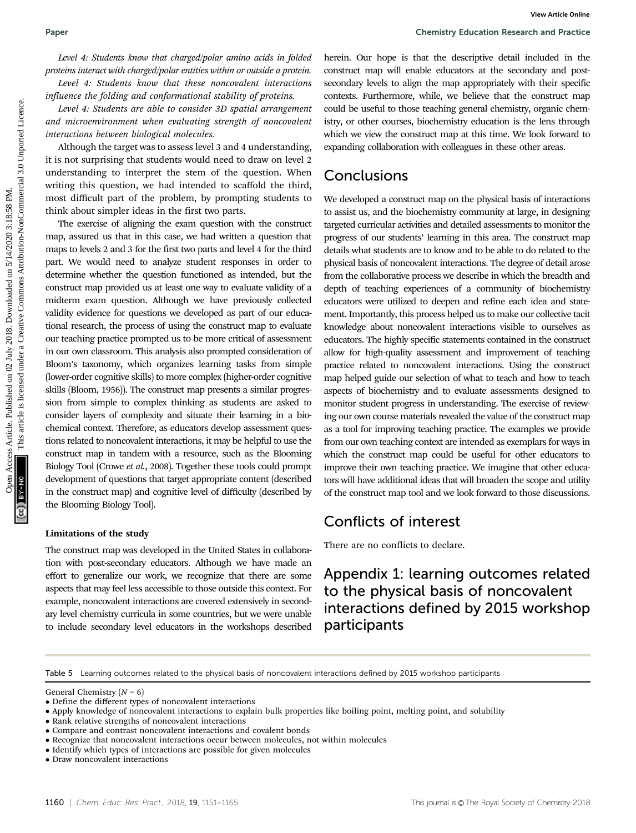Level 4: Students know that charged/polar amino acids in folded proteins interact with charged/polar entities within or outside a protein.

Level 4: Students know that these noncovalent interactions influence the folding and conformational stability of proteins.

Level 4: Students are able to consider 3D spatial arrangement and microenvironment when evaluating strength of noncovalent interactions between biological molecules.

Although the target was to assess level 3 and 4 understanding, it is not surprising that students would need to draw on level 2 understanding to interpret the stem of the question. When writing this question, we had intended to scaffold the third, most difficult part of the problem, by prompting students to think about simpler ideas in the first two parts.

The exercise of aligning the exam question with the construct map, assured us that in this case, we had written a question that maps to levels 2 and 3 for the first two parts and level 4 for the third part. We would need to analyze student responses in order to determine whether the question functioned as intended, but the construct map provided us at least one way to evaluate validity of a midterm exam question. Although we have previously collected validity evidence for questions we developed as part of our educational research, the process of using the construct map to evaluate our teaching practice prompted us to be more critical of assessment in our own classroom. This analysis also prompted consideration of Bloom's taxonomy, which organizes learning tasks from simple (lower-order cognitive skills) to more complex (higher-order cognitive skills (Bloom, 1956)). The construct map presents a similar progression from simple to complex thinking as students are asked to consider layers of complexity and situate their learning in a biochemical context. Therefore, as educators develop assessment questions related to noncovalent interactions, it may be helpful to use the construct map in tandem with a resource, such as the Blooming Biology Tool (Crowe et al., 2008). Together these tools could prompt development of questions that target appropriate content (described in the construct map) and cognitive level of difficulty (described by the Blooming Biology Tool).

#### Limitations of the study

The construct map was developed in the United States in collaboration with post-secondary educators. Although we have made an effort to generalize our work, we recognize that there are some aspects that may feel less accessible to those outside this context. For example, noncovalent interactions are covered extensively in secondary level chemistry curricula in some countries, but we were unable to include secondary level educators in the workshops described herein. Our hope is that the descriptive detail included in the construct map will enable educators at the secondary and postsecondary levels to align the map appropriately with their specific contexts. Furthermore, while, we believe that the construct map could be useful to those teaching general chemistry, organic chemistry, or other courses, biochemistry education is the lens through which we view the construct map at this time. We look forward to expanding collaboration with colleagues in these other areas.

# **Conclusions**

We developed a construct map on the physical basis of interactions to assist us, and the biochemistry community at large, in designing targeted curricular activities and detailed assessments to monitor the progress of our students' learning in this area. The construct map details what students are to know and to be able to do related to the physical basis of noncovalent interactions. The degree of detail arose from the collaborative process we describe in which the breadth and depth of teaching experiences of a community of biochemistry educators were utilized to deepen and refine each idea and statement. Importantly, this process helped us to make our collective tacit knowledge about noncovalent interactions visible to ourselves as educators. The highly specific statements contained in the construct allow for high-quality assessment and improvement of teaching practice related to noncovalent interactions. Using the construct map helped guide our selection of what to teach and how to teach aspects of biochemistry and to evaluate assessments designed to monitor student progress in understanding. The exercise of reviewing our own course materials revealed the value of the construct map as a tool for improving teaching practice. The examples we provide from our own teaching context are intended as exemplars for ways in which the construct map could be useful for other educators to improve their own teaching practice. We imagine that other educators will have additional ideas that will broaden the scope and utility of the construct map tool and we look forward to those discussions. Paper Chemisty Education Beach article. Published on 02 July 2018. Download in the control on the control of the control on the creation of the creation of the creation of the secondary and possible articles. The secondary

# Conflicts of interest

There are no conflicts to declare.

# Appendix 1: learning outcomes related to the physical basis of noncovalent interactions defined by 2015 workshop participants

Table 5 Learning outcomes related to the physical basis of noncovalent interactions defined by 2015 workshop participants

General Chemistry ( $N = 6$ )

<sup>-</sup> Define the different types of noncovalent interactions

<sup>-</sup> Apply knowledge of noncovalent interactions to explain bulk properties like boiling point, melting point, and solubility

<sup>-</sup> Rank relative strengths of noncovalent interactions

<sup>-</sup> Compare and contrast noncovalent interactions and covalent bonds

<sup>-</sup> Recognize that noncovalent interactions occur between molecules, not within molecules

<sup>-</sup> Identify which types of interactions are possible for given molecules

<sup>-</sup> Draw noncovalent interactions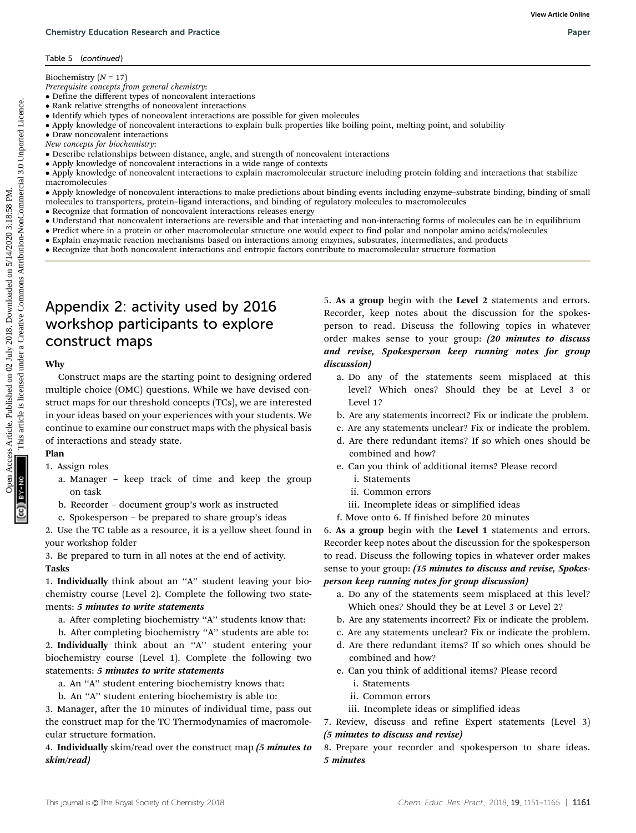#### Table 5 (continued)

#### Biochemistry ( $N = 17$ )

Prerequisite concepts from general chemistry:

- Define the different types of noncovalent interactions
- Rank relative strengths of noncovalent interactions
- Identify which types of noncovalent interactions are possible for given molecules
- Apply knowledge of noncovalent interactions to explain bulk properties like boiling point, melting point, and solubility
- Draw noncovalent interactions
- New concepts for biochemistry:
- Describe relationships between distance, angle, and strength of noncovalent interactions
- Apply knowledge of noncovalent interactions in a wide range of contexts
- Apply knowledge of noncovalent interactions to explain macromolecular structure including protein folding and interactions that stabilize macromolecules
- Apply knowledge of noncovalent interactions to make predictions about binding events including enzyme–substrate binding, binding of small molecules to transporters, protein–ligand interactions, and binding of regulatory molecules to macromolecules
- Recognize that formation of noncovalent interactions releases energy
- Understand that noncovalent interactions are reversible and that interacting and non-interacting forms of molecules can be in equilibrium
- Predict where in a protein or other macromolecular structure one would expect to find polar and nonpolar amino acids/molecules
- Explain enzymatic reaction mechanisms based on interactions among enzymes, substrates, intermediates, and products
- Recognize that both noncovalent interactions and entropic factors contribute to macromolecular structure formation

# Appendix 2: activity used by 2016 workshop participants to explore construct maps

#### Why

Construct maps are the starting point to designing ordered multiple choice (OMC) questions. While we have devised construct maps for our threshold concepts (TCs), we are interested in your ideas based on your experiences with your students. We continue to examine our construct maps with the physical basis of interactions and steady state.

# Plan

1. Assign roles

- a. Manager keep track of time and keep the group on task
- b. Recorder document group's work as instructed
- c. Spokesperson be prepared to share group's ideas

2. Use the TC table as a resource, it is a yellow sheet found in your workshop folder

3. Be prepared to turn in all notes at the end of activity. Tasks

1. Individually think about an ''A'' student leaving your biochemistry course (Level 2). Complete the following two statements: 5 *minutes to write statements* 

- a. After completing biochemistry ''A'' students know that:
- b. After completing biochemistry ''A'' students are able to: 2. Individually think about an ''A'' student entering your biochemistry course (Level 1). Complete the following two
- statements: 5 minutes to write statements
	- a. An ''A'' student entering biochemistry knows that:

b. An ''A'' student entering biochemistry is able to:

3. Manager, after the 10 minutes of individual time, pass out the construct map for the TC Thermodynamics of macromolecular structure formation.

4. Individually skim/read over the construct map (5 minutes to skim/read)

5. As a group begin with the Level 2 statements and errors. Recorder, keep notes about the discussion for the spokesperson to read. Discuss the following topics in whatever order makes sense to your group: (20 minutes to discuss and revise, Spokesperson keep running notes for group discussion) Operating Education Research and Punciles.<br>
The published on 2018. The published on 2018 are the common the common article is licensed under the common access Article is article in the common access Article is article in

- a. Do any of the statements seem misplaced at this level? Which ones? Should they be at Level 3 or Level 1?
- b. Are any statements incorrect? Fix or indicate the problem.
- c. Are any statements unclear? Fix or indicate the problem.
- d. Are there redundant items? If so which ones should be combined and how?
- e. Can you think of additional items? Please record i. Statements
	- ii. Common errors
	- iii. Incomplete ideas or simplified ideas
- f. Move onto 6. If finished before 20 minutes

6. As a group begin with the Level 1 statements and errors. Recorder keep notes about the discussion for the spokesperson to read. Discuss the following topics in whatever order makes sense to your group: (15 minutes to discuss and revise, Spokesperson keep running notes for group discussion)

- a. Do any of the statements seem misplaced at this level? Which ones? Should they be at Level 3 or Level 2?
- b. Are any statements incorrect? Fix or indicate the problem.
- c. Are any statements unclear? Fix or indicate the problem.
- d. Are there redundant items? If so which ones should be combined and how?
- e. Can you think of additional items? Please record
	- i. Statements
	- ii. Common errors
- iii. Incomplete ideas or simplified ideas

7. Review, discuss and refine Expert statements (Level 3)

# (5 minutes to discuss and revise)

8. Prepare your recorder and spokesperson to share ideas. 5 minutes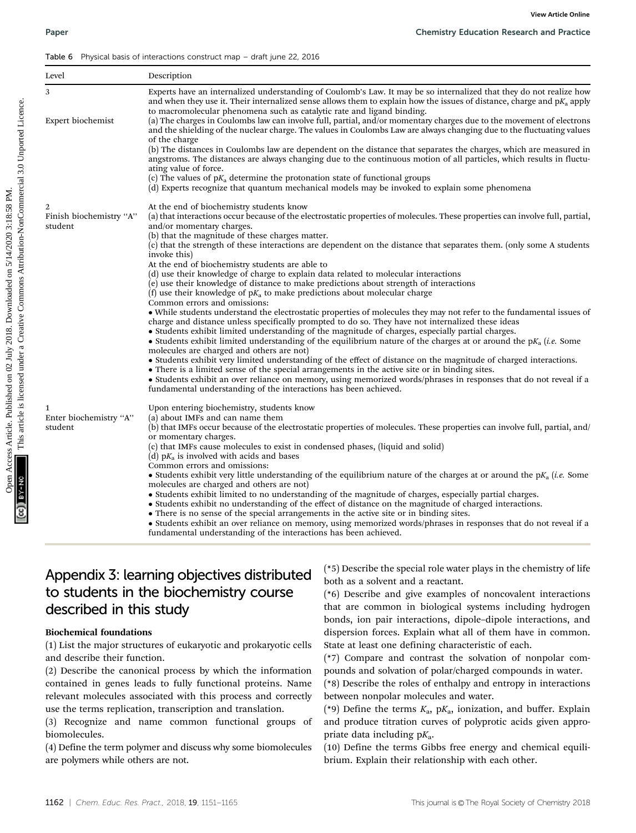|  |  | Table 6 Physical basis of interactions construct map - draft june 22, 2016 |  |  |  |  |
|--|--|----------------------------------------------------------------------------|--|--|--|--|
|--|--|----------------------------------------------------------------------------|--|--|--|--|

| Paper                                                                           | <b>Chemistry Education Research and Practice</b>                                                                                                                                                                                                                                                                                                                |  |
|---------------------------------------------------------------------------------|-----------------------------------------------------------------------------------------------------------------------------------------------------------------------------------------------------------------------------------------------------------------------------------------------------------------------------------------------------------------|--|
| Table 6<br>Physical basis of interactions construct map $-$ draft june 22, 2016 |                                                                                                                                                                                                                                                                                                                                                                 |  |
| Level                                                                           | Description                                                                                                                                                                                                                                                                                                                                                     |  |
| 3                                                                               | Experts have an internalized understanding of Coulomb's Law. It may be so internalized that they do not realize how<br>and when they use it. Their internalized sense allows them to explain how the issues of distance, charge and $pK_a$ apply<br>to macromolecular phenomena such as catalytic rate and ligand binding.                                      |  |
| Expert biochemist                                                               | (a) The charges in Coulombs law can involve full, partial, and/or momentary charges due to the movement of electrons<br>and the shielding of the nuclear charge. The values in Coulombs Law are always changing due to the fluctuating values<br>of the charge                                                                                                  |  |
|                                                                                 | (b) The distances in Coulombs law are dependent on the distance that separates the charges, which are measured in<br>angstroms. The distances are always changing due to the continuous motion of all particles, which results in fluctu-<br>ating value of force.                                                                                              |  |
|                                                                                 | (c) The values of $pK_a$ determine the protonation state of functional groups<br>(d) Experts recognize that quantum mechanical models may be invoked to explain some phenomena                                                                                                                                                                                  |  |
| 2<br>Finish biochemistry "A"<br>student                                         | At the end of biochemistry students know<br>(a) that interactions occur because of the electrostatic properties of molecules. These properties can involve full, partial,<br>and/or momentary charges.                                                                                                                                                          |  |
|                                                                                 | (b) that the magnitude of these charges matter.<br>(c) that the strength of these interactions are dependent on the distance that separates them. (only some A students<br>invoke this)                                                                                                                                                                         |  |
|                                                                                 | At the end of biochemistry students are able to<br>(d) use their knowledge of charge to explain data related to molecular interactions<br>(e) use their knowledge of distance to make predictions about strength of interactions<br>(f) use their knowledge of $pK_a$ to make predictions about molecular charge                                                |  |
|                                                                                 | Common errors and omissions:<br>• While students understand the electrostatic properties of molecules they may not refer to the fundamental issues of<br>charge and distance unless specifically prompted to do so. They have not internalized these ideas<br>• Students exhibit limited understanding of the magnitude of charges, especially partial charges. |  |
|                                                                                 | • Students exhibit limited understanding of the equilibrium nature of the charges at or around the $pK_a$ ( <i>i.e.</i> Some<br>molecules are charged and others are not)<br>• Students exhibit very limited understanding of the effect of distance on the magnitude of charged interactions.                                                                  |  |
|                                                                                 | • There is a limited sense of the special arrangements in the active site or in binding sites.<br>• Students exhibit an over reliance on memory, using memorized words/phrases in responses that do not reveal if a<br>fundamental understanding of the interactions has been achieved.                                                                         |  |
| 1<br>Enter biochemistry "A"<br>student                                          | Upon entering biochemistry, students know<br>(a) about IMFs and can name them<br>(b) that IMFs occur because of the electrostatic properties of molecules. These properties can involve full, partial, and/                                                                                                                                                     |  |
|                                                                                 | or momentary charges.<br>(c) that IMFs cause molecules to exist in condensed phases, (liquid and solid)<br>(d) $pK_a$ is involved with acids and bases                                                                                                                                                                                                          |  |
|                                                                                 | Common errors and omissions:<br>• Students exhibit very little understanding of the equilibrium nature of the charges at or around the $pK_a$ ( <i>i.e.</i> Some<br>molecules are charged and others are not)                                                                                                                                                   |  |
|                                                                                 | • Students exhibit limited to no understanding of the magnitude of charges, especially partial charges.<br>• Students exhibit no understanding of the effect of distance on the magnitude of charged interactions.<br>• There is no sense of the special arrangements in the active site or in binding sites.                                                   |  |
|                                                                                 | • Students exhibit an over reliance on memory, using memorized words/phrases in responses that do not reveal if a<br>fundamental understanding of the interactions has been achieved.                                                                                                                                                                           |  |

# Appendix 3: learning objectives distributed to students in the biochemistry course described in this study

#### Biochemical foundations

(1) List the major structures of eukaryotic and prokaryotic cells and describe their function.

(2) Describe the canonical process by which the information contained in genes leads to fully functional proteins. Name relevant molecules associated with this process and correctly use the terms replication, transcription and translation.

(3) Recognize and name common functional groups of biomolecules.

(4) Define the term polymer and discuss why some biomolecules are polymers while others are not.

(\*5) Describe the special role water plays in the chemistry of life both as a solvent and a reactant.

(\*6) Describe and give examples of noncovalent interactions that are common in biological systems including hydrogen bonds, ion pair interactions, dipole–dipole interactions, and dispersion forces. Explain what all of them have in common. State at least one defining characteristic of each.

(\*7) Compare and contrast the solvation of nonpolar compounds and solvation of polar/charged compounds in water.

(\*8) Describe the roles of enthalpy and entropy in interactions between nonpolar molecules and water.

(\*9) Define the terms  $K_a$ , p $K_a$ , ionization, and buffer. Explain and produce titration curves of polyprotic acids given appropriate data including  $pK_a$ .

(10) Define the terms Gibbs free energy and chemical equilibrium. Explain their relationship with each other.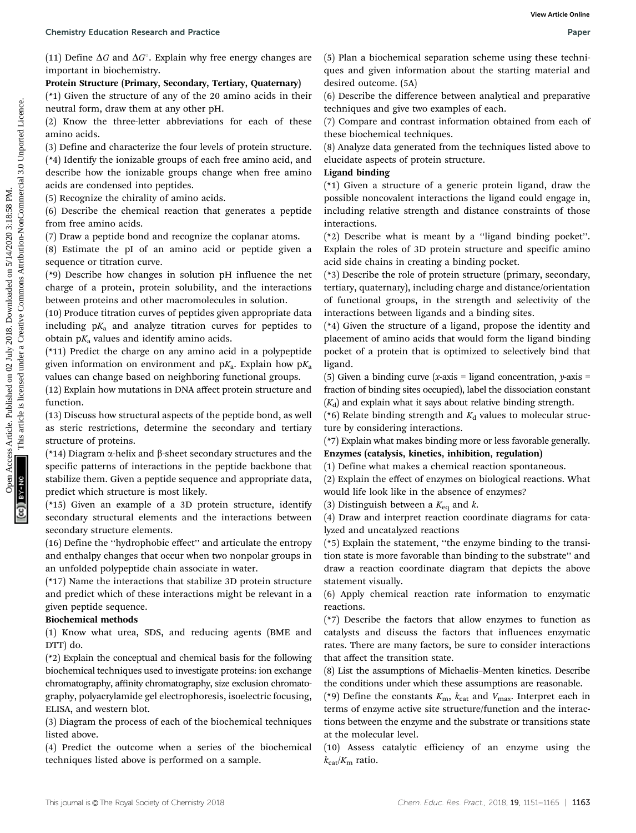(11) Define  $\Delta G$  and  $\Delta G^{\circ}$ . Explain why free energy changes are important in biochemistry.

### Protein Structure (Primary, Secondary, Tertiary, Quaternary)

(\*1) Given the structure of any of the 20 amino acids in their neutral form, draw them at any other pH.

(2) Know the three-letter abbreviations for each of these amino acids.

(3) Define and characterize the four levels of protein structure. (\*4) Identify the ionizable groups of each free amino acid, and describe how the ionizable groups change when free amino acids are condensed into peptides.

(5) Recognize the chirality of amino acids.

(6) Describe the chemical reaction that generates a peptide from free amino acids.

(7) Draw a peptide bond and recognize the coplanar atoms.

(8) Estimate the pI of an amino acid or peptide given a sequence or titration curve.

(\*9) Describe how changes in solution pH influence the net charge of a protein, protein solubility, and the interactions between proteins and other macromolecules in solution.

(10) Produce titration curves of peptides given appropriate data including  $pK_a$  and analyze titration curves for peptides to obtain  $pK_a$  values and identify amino acids.

(\*11) Predict the charge on any amino acid in a polypeptide given information on environment and  $pK_a$ . Explain how  $pK_a$ values can change based on neighboring functional groups.

(12) Explain how mutations in DNA affect protein structure and function.

(13) Discuss how structural aspects of the peptide bond, as well as steric restrictions, determine the secondary and tertiary structure of proteins.

(\*14) Diagram  $\alpha$ -helix and  $\beta$ -sheet secondary structures and the specific patterns of interactions in the peptide backbone that stabilize them. Given a peptide sequence and appropriate data, predict which structure is most likely.

(\*15) Given an example of a 3D protein structure, identify secondary structural elements and the interactions between secondary structure elements.

(16) Define the ''hydrophobic effect'' and articulate the entropy and enthalpy changes that occur when two nonpolar groups in an unfolded polypeptide chain associate in water.

(\*17) Name the interactions that stabilize 3D protein structure and predict which of these interactions might be relevant in a given peptide sequence.

# Biochemical methods

(1) Know what urea, SDS, and reducing agents (BME and DTT) do.

(\*2) Explain the conceptual and chemical basis for the following biochemical techniques used to investigate proteins: ion exchange chromatography, affinity chromatography, size exclusion chromatography, polyacrylamide gel electrophoresis, isoelectric focusing, ELISA, and western blot.

(3) Diagram the process of each of the biochemical techniques listed above.

(4) Predict the outcome when a series of the biochemical techniques listed above is performed on a sample.

(5) Plan a biochemical separation scheme using these techniques and given information about the starting material and desired outcome. (5A)

(6) Describe the difference between analytical and preparative techniques and give two examples of each.

(7) Compare and contrast information obtained from each of these biochemical techniques.

(8) Analyze data generated from the techniques listed above to elucidate aspects of protein structure.

# Ligand binding

(\*1) Given a structure of a generic protein ligand, draw the possible noncovalent interactions the ligand could engage in, including relative strength and distance constraints of those interactions. Openinty Education Research and Particle. Worwide one comparison are (3) Plant a bicked<br>material information in the common Access Article. Published on 2018. Determined the common and the common and the common and the com

(\*2) Describe what is meant by a ''ligand binding pocket''. Explain the roles of 3D protein structure and specific amino acid side chains in creating a binding pocket.

(\*3) Describe the role of protein structure (primary, secondary, tertiary, quaternary), including charge and distance/orientation of functional groups, in the strength and selectivity of the interactions between ligands and a binding sites.

(\*4) Given the structure of a ligand, propose the identity and placement of amino acids that would form the ligand binding pocket of a protein that is optimized to selectively bind that ligand.

(5) Given a binding curve (x-axis = ligand concentration,  $y$ -axis = fraction of binding sites occupied), label the dissociation constant  $(K_d)$  and explain what it says about relative binding strength.

(\*6) Relate binding strength and  $K_d$  values to molecular structure by considering interactions.

(\*7) Explain what makes binding more or less favorable generally. Enzymes (catalysis, kinetics, inhibition, regulation)

(1) Define what makes a chemical reaction spontaneous.

(2) Explain the effect of enzymes on biological reactions. What would life look like in the absence of enzymes?

(3) Distinguish between a  $K_{eq}$  and k.

(4) Draw and interpret reaction coordinate diagrams for catalyzed and uncatalyzed reactions

(\*5) Explain the statement, ''the enzyme binding to the transition state is more favorable than binding to the substrate'' and draw a reaction coordinate diagram that depicts the above statement visually.

(6) Apply chemical reaction rate information to enzymatic reactions.

(\*7) Describe the factors that allow enzymes to function as catalysts and discuss the factors that influences enzymatic rates. There are many factors, be sure to consider interactions that affect the transition state.

(8) List the assumptions of Michaelis–Menten kinetics. Describe the conditions under which these assumptions are reasonable.

(\*9) Define the constants  $K_{\rm m}$ ,  $k_{\rm cat}$  and  $V_{\rm max}$ . Interpret each in terms of enzyme active site structure/function and the interactions between the enzyme and the substrate or transitions state at the molecular level.

(10) Assess catalytic efficiency of an enzyme using the  $k_{\text{cat}}/K_{\text{m}}$  ratio.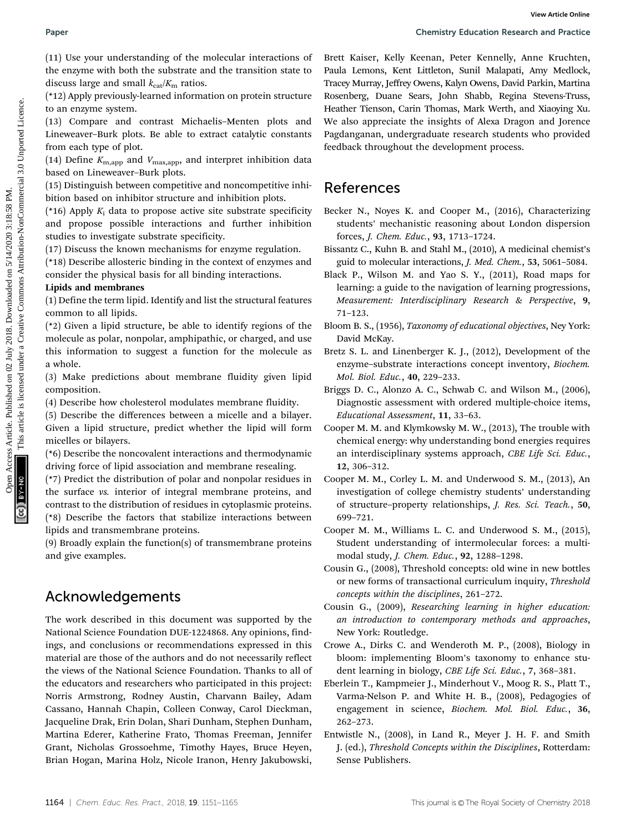(11) Use your understanding of the molecular interactions of the enzyme with both the substrate and the transition state to discuss large and small  $k_{cat}/K_m$  ratios.

(\*12) Apply previously-learned information on protein structure to an enzyme system.

(13) Compare and contrast Michaelis–Menten plots and Lineweaver–Burk plots. Be able to extract catalytic constants from each type of plot.

(14) Define  $K_{\text{m,app}}$  and  $V_{\text{max,app}}$ , and interpret inhibition data based on Lineweaver–Burk plots.

(15) Distinguish between competitive and noncompetitive inhibition based on inhibitor structure and inhibition plots.

(\*16) Apply  $K_i$  data to propose active site substrate specificity and propose possible interactions and further inhibition studies to investigate substrate specificity.

(17) Discuss the known mechanisms for enzyme regulation.

(\*18) Describe allosteric binding in the context of enzymes and consider the physical basis for all binding interactions.

#### Lipids and membranes

(1) Define the term lipid. Identify and list the structural features common to all lipids.

(\*2) Given a lipid structure, be able to identify regions of the molecule as polar, nonpolar, amphipathic, or charged, and use this information to suggest a function for the molecule as a whole.

(3) Make predictions about membrane fluidity given lipid composition.

(4) Describe how cholesterol modulates membrane fluidity.

(5) Describe the differences between a micelle and a bilayer. Given a lipid structure, predict whether the lipid will form micelles or bilayers.

(\*6) Describe the noncovalent interactions and thermodynamic driving force of lipid association and membrane resealing.

(\*7) Predict the distribution of polar and nonpolar residues in the surface vs. interior of integral membrane proteins, and contrast to the distribution of residues in cytoplasmic proteins. (\*8) Describe the factors that stabilize interactions between lipids and transmembrane proteins.

(9) Broadly explain the function(s) of transmembrane proteins and give examples.

# Acknowledgements

The work described in this document was supported by the National Science Foundation DUE-1224868. Any opinions, findings, and conclusions or recommendations expressed in this material are those of the authors and do not necessarily reflect the views of the National Science Foundation. Thanks to all of the educators and researchers who participated in this project: Norris Armstrong, Rodney Austin, Charvann Bailey, Adam Cassano, Hannah Chapin, Colleen Conway, Carol Dieckman, Jacqueline Drak, Erin Dolan, Shari Dunham, Stephen Dunham, Martina Ederer, Katherine Frato, Thomas Freeman, Jennifer Grant, Nicholas Grossoehme, Timothy Hayes, Bruce Heyen, Brian Hogan, Marina Holz, Nicole Iranon, Henry Jakubowski,

Brett Kaiser, Kelly Keenan, Peter Kennelly, Anne Kruchten, Paula Lemons, Kent Littleton, Sunil Malapati, Amy Medlock, Tracey Murray, Jeffrey Owens, Kalyn Owens, David Parkin, Martina Rosenberg, Duane Sears, John Shabb, Regina Stevens-Truss, Heather Tienson, Carin Thomas, Mark Werth, and Xiaoying Xu. We also appreciate the insights of Alexa Dragon and Jorence Pagdanganan, undergraduate research students who provided feedback throughout the development process. Paper Chemistry Gaussian Weaker article on the method on 1911 (11) User a monoton who behaviour and the car monoton in the method on the same with the same of the method on 5/14/2020 and Magnetia top Michael Amelia Same C

# References

Becker N., Noyes K. and Cooper M., (2016), Characterizing students' mechanistic reasoning about London dispersion forces, J. Chem. Educ., 93, 1713–1724.

Bissantz C., Kuhn B. and Stahl M., (2010), A medicinal chemist's guid to molecular interactions, J. Med. Chem., 53, 5061–5084.

Black P., Wilson M. and Yao S. Y., (2011), Road maps for learning: a guide to the navigation of learning progressions, Measurement: Interdisciplinary Research & Perspective, 9, 71–123.

- Bloom B. S., (1956), Taxonomy of educational objectives, Ney York: David McKay.
- Bretz S. L. and Linenberger K. J., (2012), Development of the enzyme–substrate interactions concept inventory, Biochem. Mol. Biol. Educ., 40, 229–233.
- Briggs D. C., Alonzo A. C., Schwab C. and Wilson M., (2006), Diagnostic assessment with ordered multiple-choice items, Educational Assessment, 11, 33–63.
- Cooper M. M. and Klymkowsky M. W., (2013), The trouble with chemical energy: why understanding bond energies requires an interdisciplinary systems approach, CBE Life Sci. Educ., 12, 306–312.
- Cooper M. M., Corley L. M. and Underwood S. M., (2013), An investigation of college chemistry students' understanding of structure–property relationships, J. Res. Sci. Teach., 50, 699–721.
- Cooper M. M., Williams L. C. and Underwood S. M., (2015), Student understanding of intermolecular forces: a multimodal study, J. Chem. Educ., 92, 1288–1298.
- Cousin G., (2008), Threshold concepts: old wine in new bottles or new forms of transactional curriculum inquiry, Threshold concepts within the disciplines, 261–272.
- Cousin G., (2009), Researching learning in higher education: an introduction to contemporary methods and approaches, New York: Routledge.
- Crowe A., Dirks C. and Wenderoth M. P., (2008), Biology in bloom: implementing Bloom's taxonomy to enhance student learning in biology, CBE Life Sci. Educ., 7, 368-381.
- Eberlein T., Kampmeier J., Minderhout V., Moog R. S., Platt T., Varma-Nelson P. and White H. B., (2008), Pedagogies of engagement in science, Biochem. Mol. Biol. Educ., 36, 262–273.
- Entwistle N., (2008), in Land R., Meyer J. H. F. and Smith J. (ed.), Threshold Concepts within the Disciplines, Rotterdam: Sense Publishers.